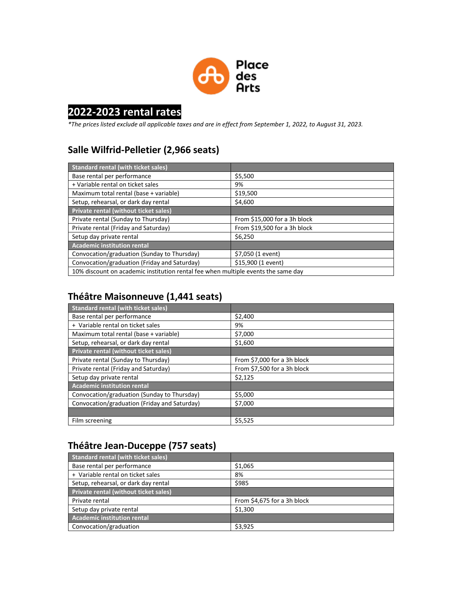

# **2022-2023 rental rates**

*\*The prices listed exclude all applicable taxes and are in effect from September 1, 2022, to August 31, 2023.*

#### **Salle Wilfrid-Pelletier (2,966 seats)**

| <b>Standard rental (with ticket sales)</b>                                        |                              |
|-----------------------------------------------------------------------------------|------------------------------|
| Base rental per performance                                                       | \$5,500                      |
| + Variable rental on ticket sales                                                 | 9%                           |
| Maximum total rental (base + variable)                                            | \$19,500                     |
| Setup, rehearsal, or dark day rental                                              | \$4,600                      |
| Private rental (without ticket sales)                                             |                              |
| Private rental (Sunday to Thursday)                                               | From \$15,000 for a 3h block |
| Private rental (Friday and Saturday)                                              | From \$19,500 for a 3h block |
| Setup day private rental                                                          | \$6,250                      |
| <b>Academic institution rental</b>                                                |                              |
| Convocation/graduation (Sunday to Thursday)                                       | \$7,050 (1 event)            |
| Convocation/graduation (Friday and Saturday)                                      | \$15,900 (1 event)           |
| 10% discount on academic institution rental fee when multiple events the same day |                              |

## **Théâtre Maisonneuve (1,441 seats)**

| <b>Standard rental (with ticket sales)</b>   |                             |
|----------------------------------------------|-----------------------------|
| Base rental per performance                  | \$2,400                     |
| + Variable rental on ticket sales            | 9%                          |
| Maximum total rental (base + variable)       | \$7,000                     |
| Setup, rehearsal, or dark day rental         | \$1,600                     |
| Private rental (without ticket sales)        |                             |
| Private rental (Sunday to Thursday)          | From \$7,000 for a 3h block |
| Private rental (Friday and Saturday)         | From \$7,500 for a 3h block |
| Setup day private rental                     | \$2,125                     |
| <b>Academic institution rental</b>           |                             |
| Convocation/graduation (Sunday to Thursday)  | \$5,000                     |
| Convocation/graduation (Friday and Saturday) | \$7,000                     |
|                                              |                             |
| Film screening                               | \$5,525                     |

## **Théâtre Jean-Duceppe (757 seats)**

| <b>Standard rental (with ticket sales)</b> |                             |
|--------------------------------------------|-----------------------------|
| Base rental per performance                | \$1,065                     |
| + Variable rental on ticket sales          | 8%                          |
| Setup, rehearsal, or dark day rental       | \$985                       |
| Private rental (without ticket sales)      |                             |
| Private rental                             | From \$4,675 for a 3h block |
| Setup day private rental                   | \$1,300                     |
| <b>Academic institution rental</b>         |                             |
| Convocation/graduation                     | \$3,925                     |